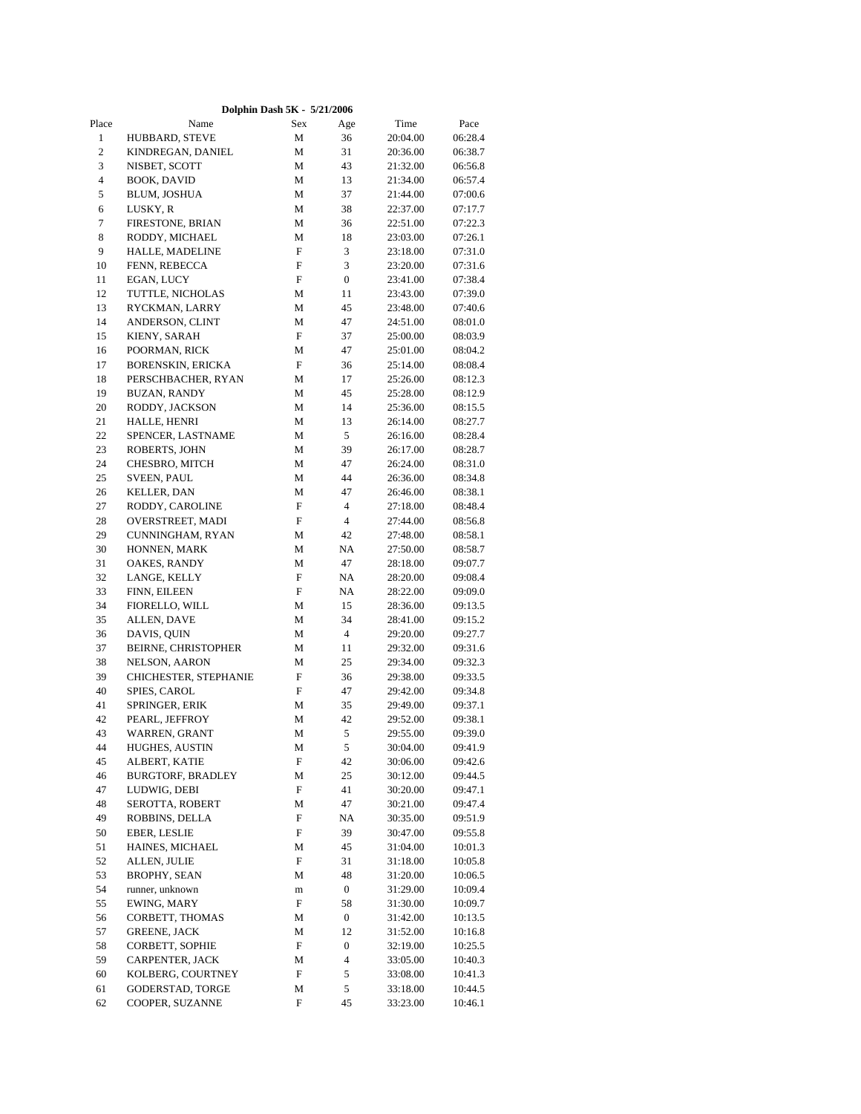|              |                          | Dolphin Dash 5K - 5/21/2006 |                  |          |         |  |
|--------------|--------------------------|-----------------------------|------------------|----------|---------|--|
| Place        | Name                     | Sex                         | Age              | Time     | Pace    |  |
| $\mathbf{1}$ | HUBBARD, STEVE           | M                           | 36               | 20:04.00 | 06:28.4 |  |
| $\sqrt{2}$   | KINDREGAN, DANIEL        | М                           | 31               | 20:36.00 | 06:38.7 |  |
| 3            | NISBET, SCOTT            | М                           | 43               | 21:32.00 | 06:56.8 |  |
| $\sqrt{4}$   | <b>BOOK, DAVID</b>       | M                           | 13               | 21:34.00 | 06:57.4 |  |
| 5            | BLUM, JOSHUA             | М                           | 37               | 21:44.00 | 07:00.6 |  |
| 6            | LUSKY, R                 | М                           | 38               | 22:37.00 | 07:17.7 |  |
| $\tau$       | FIRESTONE, BRIAN         | M                           | 36               | 22:51.00 | 07:22.3 |  |
| 8            | RODDY, MICHAEL           | М                           | 18               | 23:03.00 | 07:26.1 |  |
| 9            | HALLE, MADELINE          | F                           | 3                | 23:18.00 | 07:31.0 |  |
| 10           | FENN, REBECCA            | F                           | 3                | 23:20.00 | 07:31.6 |  |
| 11           | EGAN, LUCY               | F                           | $\boldsymbol{0}$ | 23:41.00 | 07:38.4 |  |
| 12           | TUTTLE, NICHOLAS         | М                           | 11               | 23:43.00 | 07:39.0 |  |
| 13           | RYCKMAN, LARRY           | М                           | 45               | 23:48.00 | 07:40.6 |  |
| 14           | ANDERSON, CLINT          | М                           | 47               | 24:51.00 | 08:01.0 |  |
| 15           | KIENY, SARAH             | F                           | 37               | 25:00.00 | 08:03.9 |  |
| 16           | POORMAN, RICK            | М                           | 47               | 25:01.00 | 08:04.2 |  |
| 17           | <b>BORENSKIN, ERICKA</b> | F                           | 36               | 25:14.00 | 08:08.4 |  |
| 18           | PERSCHBACHER, RYAN       | М                           | 17               | 25:26.00 | 08:12.3 |  |
| 19           | <b>BUZAN, RANDY</b>      | М                           | 45               | 25:28.00 | 08:12.9 |  |
| 20           | RODDY, JACKSON           | М                           | 14               | 25:36.00 | 08:15.5 |  |
| 21           | HALLE, HENRI             | М                           | 13               | 26:14.00 | 08:27.7 |  |
| 22           | SPENCER, LASTNAME        | М                           | 5                | 26:16.00 | 08:28.4 |  |
| 23           | ROBERTS, JOHN            | M                           | 39               | 26:17.00 | 08:28.7 |  |
| 24           | CHESBRO, MITCH           | М                           | 47               | 26:24.00 | 08:31.0 |  |
| 25           | <b>SVEEN, PAUL</b>       | М                           | 44               | 26:36.00 | 08:34.8 |  |
| 26           | KELLER, DAN              | М                           | 47               | 26:46.00 | 08:38.1 |  |
| 27           | RODDY, CAROLINE          | F                           | $\overline{4}$   | 27:18.00 | 08:48.4 |  |
| 28           | OVERSTREET, MADI         | F                           | 4                | 27:44.00 | 08:56.8 |  |
| 29           | CUNNINGHAM, RYAN         | $\mathbf M$                 | 42               | 27:48.00 | 08:58.1 |  |
| 30           | HONNEN, MARK             | М                           | NA               | 27:50.00 | 08:58.7 |  |
| 31           | OAKES, RANDY             | М                           | 47               | 28:18.00 | 09:07.7 |  |
| 32           | LANGE, KELLY             | F                           | NA               | 28:20.00 | 09:08.4 |  |
| 33           | FINN, EILEEN             | F                           | NA               | 28:22.00 | 09:09.0 |  |
| 34           | FIORELLO, WILL           | М                           | 15               | 28:36.00 | 09:13.5 |  |
| 35           | ALLEN, DAVE              | М                           | 34               | 28:41.00 | 09:15.2 |  |
| 36           | DAVIS, QUIN              | М                           | 4                | 29:20.00 | 09:27.7 |  |
| 37           | BEIRNE, CHRISTOPHER      | М                           | 11               | 29:32.00 | 09:31.6 |  |
| 38           | <b>NELSON, AARON</b>     | М                           | 25               | 29:34.00 | 09:32.3 |  |
| 39           | CHICHESTER, STEPHANIE    | F                           | 36               | 29:38.00 | 09:33.5 |  |
| 40           | SPIES, CAROL             | F                           | 47               | 29:42.00 | 09:34.8 |  |
| 41           | SPRINGER, ERIK           | М                           | 35               | 29:49.00 | 09:37.1 |  |
| 42           | PEARL, JEFFROY           | М                           | 42               | 29:52.00 | 09:38.1 |  |
| 43           | WARREN, GRANT            | M                           | 5                | 29:55.00 | 09:39.0 |  |
| 44           | HUGHES, AUSTIN           | М                           | 5                | 30:04.00 | 09:41.9 |  |
| 45           | ALBERT, KATIE            | F                           | 42               | 30:06.00 | 09:42.6 |  |
| 46           | <b>BURGTORF, BRADLEY</b> | М                           | 25               | 30:12.00 | 09:44.5 |  |
| 47           | LUDWIG, DEBI             | F                           | 41               | 30:20.00 | 09:47.1 |  |
| 48           | SEROTTA, ROBERT          | М                           | 47               | 30:21.00 | 09:47.4 |  |
| 49           | ROBBINS, DELLA           | F                           | NA               | 30:35.00 | 09:51.9 |  |
| 50           | <b>EBER, LESLIE</b>      | F                           | 39               | 30:47.00 | 09:55.8 |  |
| 51           | HAINES, MICHAEL          | М                           | 45               | 31:04.00 | 10:01.3 |  |
| 52           | ALLEN, JULIE             | F                           | 31               | 31:18.00 | 10:05.8 |  |
| 53           | <b>BROPHY, SEAN</b>      | М                           | 48               | 31:20.00 | 10:06.5 |  |
| 54           | runner, unknown          | ${\bf m}$                   | 0                | 31:29.00 | 10:09.4 |  |
| 55           | EWING, MARY              | F                           | 58               | 31:30.00 | 10:09.7 |  |
| 56           | CORBETT, THOMAS          | М                           | 0                | 31:42.00 | 10:13.5 |  |
| 57           | <b>GREENE, JACK</b>      | М                           | 12               | 31:52.00 | 10:16.8 |  |
| 58           | CORBETT, SOPHIE          | F                           | $\boldsymbol{0}$ | 32:19.00 | 10:25.5 |  |
| 59           | CARPENTER, JACK          | М                           | 4                | 33:05.00 | 10:40.3 |  |
| 60           | KOLBERG, COURTNEY        | F                           | 5                | 33:08.00 | 10:41.3 |  |
| 61           | GODERSTAD, TORGE         | М                           | 5                | 33:18.00 | 10:44.5 |  |
| 62           | COOPER, SUZANNE          | F                           | 45               | 33:23.00 | 10:46.1 |  |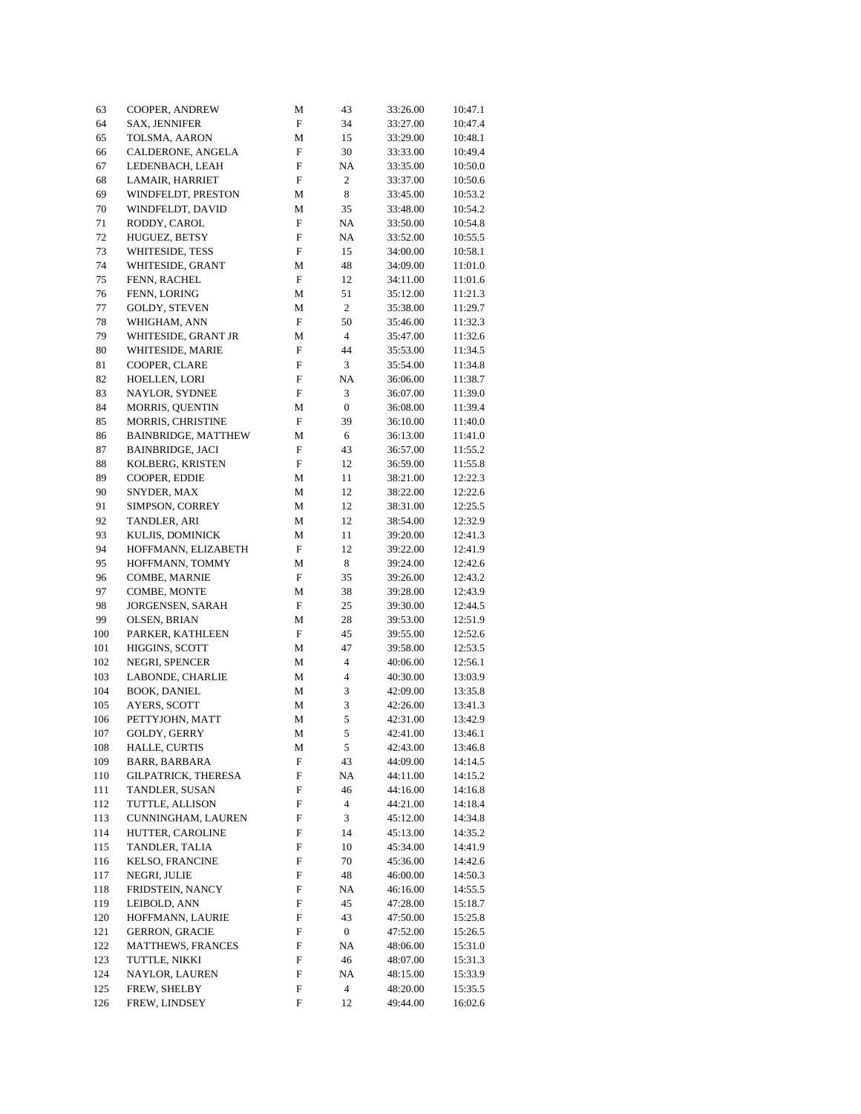| 63         | COOPER, ANDREW                            | М           | 43                       | 33:26.00             | 10:47.1            |
|------------|-------------------------------------------|-------------|--------------------------|----------------------|--------------------|
| 64         | <b>SAX, JENNIFER</b>                      | F           | 34                       | 33:27.00             | 10:47.4            |
| 65         | TOLSMA, AARON                             | М           | 15                       | 33:29.00             | 10:48.1            |
| 66         | CALDERONE, ANGELA                         | ${\rm F}$   | 30                       | 33:33.00             | 10:49.4            |
| 67         | LEDENBACH, LEAH                           | F           | NA                       | 33:35.00             | 10:50.0            |
| 68         | LAMAIR, HARRIET                           | F           | 2                        | 33:37.00             | 10:50.6            |
| 69         | WINDFELDT, PRESTON                        | М           | 8                        | 33:45.00             | 10:53.2            |
| 70         | WINDFELDT, DAVID                          | М           | 35                       | 33:48.00             | 10:54.2            |
| 71         | RODDY, CAROL                              | F           | NA                       | 33:50.00             | 10:54.8            |
| 72         | HUGUEZ, BETSY                             | F           | NA                       | 33:52.00             | 10:55.5            |
| 73         | WHITESIDE, TESS                           | F           | 15                       | 34:00.00             | 10:58.1            |
| 74         | WHITESIDE, GRANT                          | M           | 48                       | 34:09.00             | 11:01.0            |
| 75         | FENN, RACHEL                              | F           | 12                       | 34:11.00             | 11:01.6            |
| 76         | FENN, LORING                              | М           | 51                       | 35:12.00             | 11:21.3            |
| 77         | GOLDY, STEVEN                             | M           | 2                        | 35:38.00             | 11:29.7            |
| 78         | WHIGHAM, ANN                              | F           | 50                       | 35:46.00             | 11:32.3            |
| 79         | WHITESIDE, GRANT JR                       | М           | $\overline{\mathcal{L}}$ | 35:47.00             | 11:32.6            |
| 80         | WHITESIDE, MARIE                          | F           | 44                       | 35:53.00             | 11:34.5            |
| 81         | COOPER, CLARE                             | F           | 3                        | 35:54.00             | 11:34.8            |
| 82         | HOELLEN, LORI                             | F           | NA                       | 36:06.00             | 11:38.7            |
| 83         | NAYLOR, SYDNEE                            | F           | 3                        | 36:07.00             | 11:39.0            |
| 84         | MORRIS, QUENTIN                           | M           | $\boldsymbol{0}$         | 36:08.00             | 11:39.4            |
| 85         | MORRIS, CHRISTINE                         | F           | 39                       | 36:10.00             | 11:40.0            |
| 86         | <b>BAINBRIDGE, MATTHEW</b>                | М           | 6                        | 36:13.00             | 11:41.0            |
| 87         | <b>BAINBRIDGE, JACI</b>                   | F           | 43                       | 36:57.00             | 11:55.2            |
| 88         | KOLBERG, KRISTEN                          | ${\rm F}$   | 12                       | 36:59.00             | 11:55.8            |
| 89         | COOPER, EDDIE                             | М           | 11                       | 38:21.00             | 12:22.3            |
| 90         | SNYDER, MAX                               | M           | 12                       | 38:22.00             | 12:22.6            |
| 91         | SIMPSON, CORREY                           | M           | 12                       | 38:31.00             | 12:25.5            |
| 92         | TANDLER, ARI                              | М           | 12                       | 38:54.00             | 12:32.9            |
| 93         | KULJIS, DOMINICK                          | М           | 11                       | 39:20.00             | 12:41.3            |
| 94         | HOFFMANN, ELIZABETH                       | ${\rm F}$   | 12                       | 39:22.00             | 12:41.9            |
| 95         | HOFFMANN, TOMMY                           | М           | 8                        | 39:24.00             | 12:42.6            |
| 96         | COMBE, MARNIE                             | F           | 35                       | 39:26.00             | 12:43.2            |
| 97         | COMBE, MONTE                              | М           | 38                       | 39:28.00             | 12:43.9            |
| 98         | JORGENSEN, SARAH                          | F           | 25                       | 39:30.00             | 12:44.5            |
| 99         | OLSEN, BRIAN                              | М           | 28                       | 39:53.00             | 12:51.9            |
| 100        | PARKER, KATHLEEN                          | F           | 45                       | 39:55.00             | 12:52.6            |
| 101        | HIGGINS, SCOTT                            | М           | 47                       | 39:58.00             | 12:53.5            |
| 102        | NEGRI, SPENCER                            | M           | 4                        | 40:06.00             | 12:56.1            |
| 103        | LABONDE, CHARLIE                          | M           | 4                        | 40:30.00             | 13:03.9            |
| 104        | <b>BOOK, DANIEL</b>                       | М           | 3<br>3                   | 42:09.00             | 13:35.8            |
| 105        | AYERS, SCOTT                              | M           | 5                        | 42:26.00             | 13:41.3            |
| 106        | PETTYJOHN, MATT                           | M           |                          | 42:31.00             | 13:42.9            |
| 107        | GOLDY, GERRY                              | $\mathbf M$ | $\sqrt{5}$               | 42:41.00             | 13:46.1            |
| 108        | HALLE, CURTIS<br><b>BARR, BARBARA</b>     | М           | 5                        | 42:43.00             | 13:46.8            |
| 109        |                                           | F           | 43                       | 44:09.00             | 14:14.5            |
| 110        | <b>GILPATRICK, THERESA</b>                | ${\bf F}$   | NA                       | 44:11.00             | 14:15.2            |
| 111        | TANDLER, SUSAN                            | F           | 46                       | 44:16.00             | 14:16.8            |
| 112        | TUTTLE, ALLISON                           | F           | 4<br>3                   | 44:21.00             | 14:18.4            |
| 113        | CUNNINGHAM, LAUREN                        | F           |                          | 45:12.00             | 14:34.8            |
| 114        | HUTTER, CAROLINE<br>TANDLER, TALIA        | F<br>F      | 14<br>10                 | 45:13.00             | 14:35.2            |
| 115        |                                           | ${\bf F}$   |                          | 45:34.00             | 14:41.9            |
| 116        | KELSO, FRANCINE<br>NEGRI, JULIE           |             | 70<br>48                 | 45:36.00             | 14:42.6            |
| 117        | FRIDSTEIN, NANCY                          | F           |                          | 46:00.00             | 14:50.3            |
| 118        |                                           | F           | NA                       | 46:16.00             | 14:55.5            |
| 119        | LEIBOLD, ANN                              | F           | 45<br>43                 | 47:28.00             | 15:18.7            |
| 120        | HOFFMANN, LAURIE<br><b>GERRON, GRACIE</b> | F           |                          | 47:50.00             | 15:25.8            |
| 121<br>122 | MATTHEWS, FRANCES                         | F           | 0                        | 47:52.00             | 15:26.5            |
| 123        | TUTTLE, NIKKI                             | F<br>F      | NA<br>46                 | 48:06.00<br>48:07.00 | 15:31.0<br>15:31.3 |
| 124        | NAYLOR, LAUREN                            | F           | NA                       | 48:15.00             | 15:33.9            |
| 125        | FREW, SHELBY                              | F           | 4                        | 48:20.00             | 15:35.5            |
| 126        | FREW, LINDSEY                             | F           | 12                       | 49:44.00             | 16:02.6            |
|            |                                           |             |                          |                      |                    |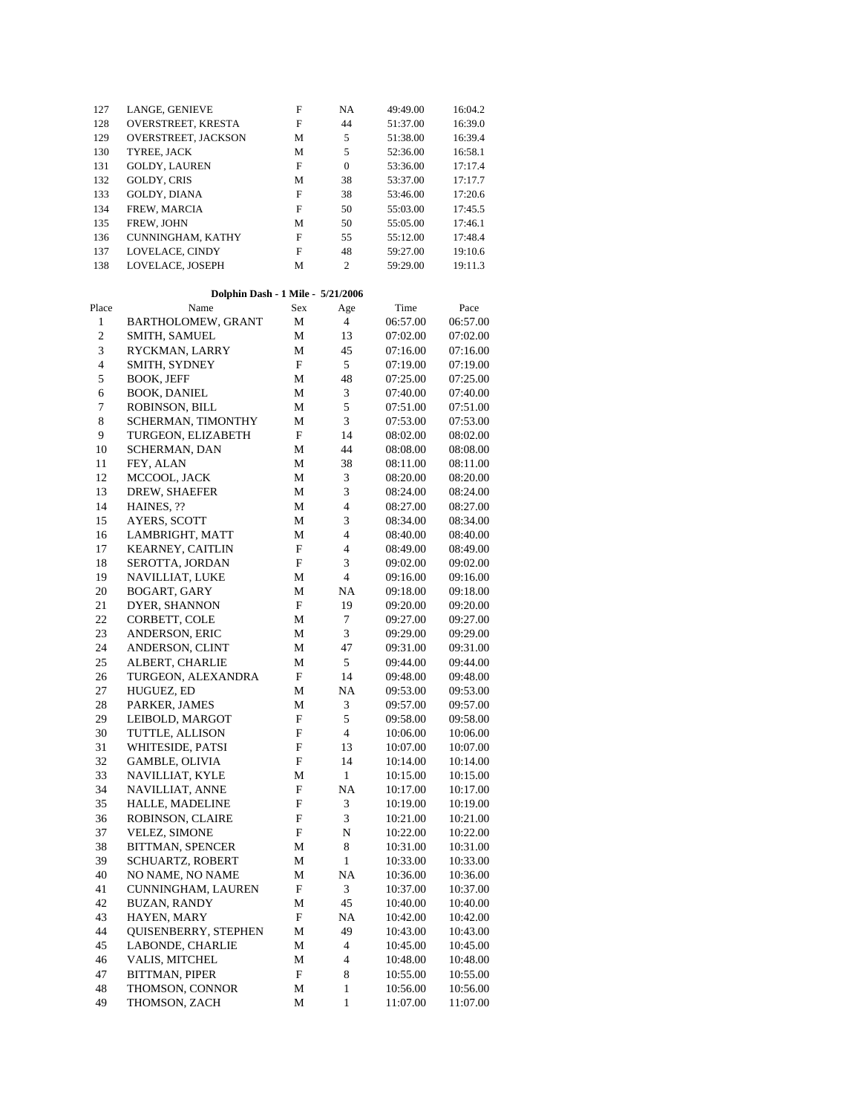| 127                     | LANGE, GENIEVE                    | F                         | NA               | 49:49.00 | 16:04.2  |  |
|-------------------------|-----------------------------------|---------------------------|------------------|----------|----------|--|
| 128                     | OVERSTREET, KRESTA                | F                         | 44               | 51:37.00 | 16:39.0  |  |
| 129                     | OVERSTREET, JACKSON               | М                         | 5                | 51:38.00 | 16:39.4  |  |
| 130                     | TYREE, JACK                       | М                         | 5                | 52:36.00 | 16:58.1  |  |
| 131                     | GOLDY, LAUREN                     | F                         | $\boldsymbol{0}$ | 53:36.00 | 17:17.4  |  |
| 132                     | <b>GOLDY, CRIS</b>                | М                         | 38               | 53:37.00 | 17:17.7  |  |
| 133                     | GOLDY, DIANA                      | F                         | 38               | 53:46.00 | 17:20.6  |  |
| 134                     | FREW, MARCIA                      | F                         | 50               | 55:03.00 | 17:45.5  |  |
| 135                     | FREW, JOHN                        | М                         | 50               | 55:05.00 | 17:46.1  |  |
| 136                     | CUNNINGHAM, KATHY                 | F                         | 55               | 55:12.00 | 17:48.4  |  |
| 137                     | LOVELACE, CINDY                   | F                         | 48               | 59:27.00 | 19:10.6  |  |
| 138                     | LOVELACE, JOSEPH                  | М                         | $\overline{c}$   | 59:29.00 | 19:11.3  |  |
|                         | Dolphin Dash - 1 Mile - 5/21/2006 |                           |                  |          |          |  |
| Place                   | Name                              | Sex                       | Age              | Time     | Pace     |  |
| 1                       | BARTHOLOMEW, GRANT                | М                         | $\overline{4}$   | 06:57.00 | 06:57.00 |  |
| $\mathfrak{2}$          | <b>SMITH, SAMUEL</b>              | М                         | 13               | 07:02.00 | 07:02.00 |  |
| 3                       | RYCKMAN, LARRY                    | М                         | 45               | 07:16.00 | 07:16.00 |  |
| $\overline{\mathbf{4}}$ | SMITH, SYDNEY                     | F                         | 5                | 07:19.00 | 07:19.00 |  |
| 5                       | <b>BOOK, JEFF</b>                 | М                         | 48               | 07:25.00 | 07:25.00 |  |
| 6                       | BOOK, DANIEL                      | М                         | 3                | 07:40.00 | 07:40.00 |  |
| $\boldsymbol{7}$        | ROBINSON, BILL                    | М                         | 5                | 07:51.00 | 07:51.00 |  |
| 8                       | SCHERMAN, TIMONTHY                | М                         | 3                | 07:53.00 | 07:53.00 |  |
| 9                       | TURGEON, ELIZABETH                | F                         | 14               | 08:02.00 | 08:02.00 |  |
| 10                      | <b>SCHERMAN, DAN</b>              | М                         | 44               | 08:08.00 | 08:08.00 |  |
| 11                      | FEY, ALAN                         | М                         | 38               | 08:11.00 | 08:11.00 |  |
| 12                      | MCCOOL, JACK                      | М                         | 3                | 08:20.00 | 08:20.00 |  |
| 13                      | DREW, SHAEFER                     | М                         | 3                | 08:24.00 | 08:24.00 |  |
| 14                      | HAINES, ??                        | М                         | 4                | 08:27.00 | 08:27.00 |  |
| 15                      | AYERS, SCOTT                      | М                         | 3                | 08:34.00 | 08:34.00 |  |
| 16                      | LAMBRIGHT, MATT                   | М                         | $\overline{4}$   | 08:40.00 | 08:40.00 |  |
| 17                      | <b>KEARNEY, CAITLIN</b>           | F                         | $\overline{4}$   | 08:49.00 | 08:49.00 |  |
| 18                      | SEROTTA, JORDAN                   | F                         | 3                | 09:02.00 | 09:02.00 |  |
| 19                      | NAVILLIAT, LUKE                   | М                         | 4                | 09:16.00 | 09:16.00 |  |
| 20                      | BOGART, GARY                      | М                         | NA               | 09:18.00 | 09:18.00 |  |
| 21                      | DYER, SHANNON                     | F                         | 19               | 09:20.00 | 09:20.00 |  |
| 22                      | CORBETT, COLE                     | М                         | 7                | 09:27.00 | 09:27.00 |  |
| 23                      | ANDERSON, ERIC                    | М                         | 3                | 09:29.00 | 09:29.00 |  |
| 24                      | ANDERSON, CLINT                   | М                         | 47               | 09:31.00 | 09:31.00 |  |
| 25                      | ALBERT, CHARLIE                   | М                         | 5                | 09:44.00 | 09:44.00 |  |
| 26                      | TURGEON, ALEXANDRA                | F                         | 14               | 09:48.00 | 09:48.00 |  |
| 27                      | HUGUEZ, ED                        | М                         | NA               | 09:53.00 | 09:53.00 |  |
| 28                      | PARKER, JAMES                     | М                         | 3                | 09:57.00 | 09:57.00 |  |
| 29                      | LEIBOLD, MARGOT                   | $\boldsymbol{\mathrm{F}}$ | 5                | 09:58.00 | 09:58.00 |  |
| 30                      | TUTTLE, ALLISON                   | F                         | 4                | 10:06.00 | 10:06.00 |  |
| 31                      | WHITESIDE, PATSI                  | F                         | 13               | 10:07.00 | 10:07.00 |  |
| 32                      | <b>GAMBLE, OLIVIA</b>             | F                         | 14               | 10:14.00 | 10:14.00 |  |
| 33                      | NAVILLIAT, KYLE                   | М                         | $\mathbf{1}$     | 10:15.00 | 10:15.00 |  |
| 34                      | NAVILLIAT, ANNE                   | F                         | <b>NA</b>        | 10:17.00 | 10:17.00 |  |
| 35                      | HALLE, MADELINE                   | F                         | 3                | 10:19.00 | 10:19.00 |  |
| 36                      | ROBINSON, CLAIRE                  | F                         | $\mathfrak{Z}$   | 10:21.00 | 10:21.00 |  |
| 37                      | <b>VELEZ, SIMONE</b>              | F                         | N                | 10:22.00 | 10:22.00 |  |
| 38                      | BITTMAN, SPENCER                  | М                         | 8                | 10:31.00 | 10:31.00 |  |
| 39                      | SCHUARTZ, ROBERT                  | М                         | $\mathbf{1}$     | 10:33.00 | 10:33.00 |  |
| 40                      | NO NAME, NO NAME                  | М                         | NA               | 10:36.00 | 10:36.00 |  |
| 41                      | CUNNINGHAM, LAUREN                | $\mathbf F$               | 3                | 10:37.00 | 10:37.00 |  |
| 42                      | <b>BUZAN, RANDY</b>               | М                         | 45               | 10:40.00 | 10:40.00 |  |
| 43                      | HAYEN, MARY                       | F                         | <b>NA</b>        | 10:42.00 | 10:42.00 |  |
| 44                      | QUISENBERRY, STEPHEN              | M                         | 49               | 10:43.00 | 10:43.00 |  |
| 45                      | LABONDE, CHARLIE                  | ${\bf M}$                 | $\overline{4}$   | 10:45.00 | 10:45.00 |  |
| 46                      | VALIS, MITCHEL                    | М                         | $\overline{4}$   | 10:48.00 | 10:48.00 |  |
| 47                      | BITTMAN, PIPER                    | $\mathbf F$               | 8                | 10:55.00 | 10:55.00 |  |
| 48                      | THOMSON, CONNOR                   | М                         | $\mathbf{1}$     | 10:56.00 | 10:56.00 |  |
| 49                      | THOMSON, ZACH                     | М                         | $\mathbf{1}$     | 11:07.00 | 11:07.00 |  |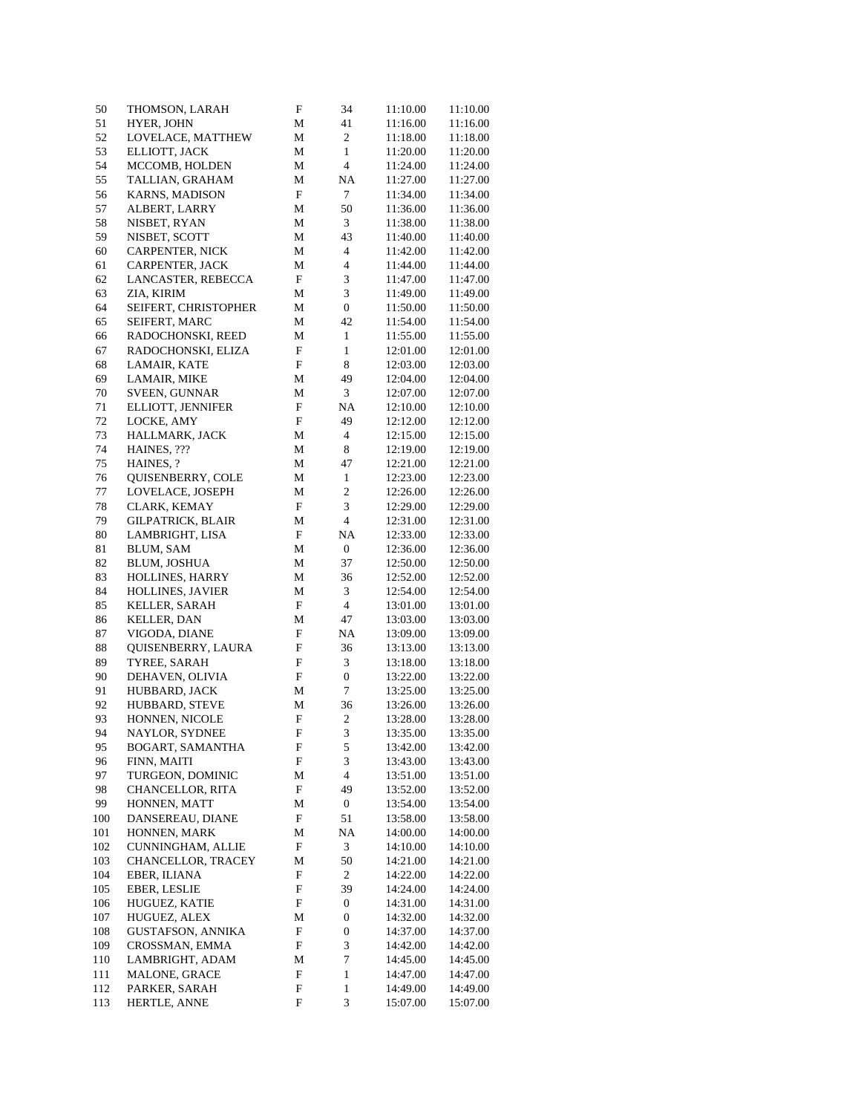| 50     | THOMSON, LARAH           | F                         | 34                          | 11:10.00 | 11:10.00 |
|--------|--------------------------|---------------------------|-----------------------------|----------|----------|
| 51     | HYER, JOHN               | М                         | 41                          | 11:16.00 | 11:16.00 |
| 52     | LOVELACE, MATTHEW        | M                         | $\boldsymbol{2}$            | 11:18.00 | 11:18.00 |
| 53     | ELLIOTT, JACK            | M                         | $\mathbf{1}$                | 11:20.00 | 11:20.00 |
| 54     | MCCOMB, HOLDEN           | M                         | $\overline{4}$              | 11:24.00 | 11:24.00 |
| 55     | TALLIAN, GRAHAM          | M                         | NA                          | 11:27.00 | 11:27.00 |
| 56     | <b>KARNS, MADISON</b>    | $\boldsymbol{\mathrm{F}}$ | $\tau$                      | 11:34.00 | 11:34.00 |
| 57     | ALBERT, LARRY            | М                         | 50                          | 11:36.00 | 11:36.00 |
| 58     | NISBET, RYAN             | М                         | 3                           | 11:38.00 | 11:38.00 |
| 59     | NISBET, SCOTT            | M                         | 43                          | 11:40.00 | 11:40.00 |
| 60     | <b>CARPENTER, NICK</b>   | М                         | $\overline{4}$              | 11:42.00 | 11:42.00 |
| 61     | CARPENTER, JACK          | М                         | $\overline{4}$              | 11:44.00 | 11:44.00 |
| 62     | LANCASTER, REBECCA       | $\boldsymbol{\mathrm{F}}$ | $\sqrt{3}$                  | 11:47.00 | 11:47.00 |
| 63     | ZIA, KIRIM               | M                         | $\ensuremath{\mathfrak{Z}}$ | 11:49.00 | 11:49.00 |
| 64     | SEIFERT, CHRISTOPHER     | М                         | 0                           | 11:50.00 | 11:50.00 |
| 65     | SEIFERT, MARC            | M                         | 42                          | 11:54.00 | 11:54.00 |
| 66     | RADOCHONSKI, REED        | М                         | $\mathbf{1}$                | 11:55.00 | 11:55.00 |
| 67     | RADOCHONSKI, ELIZA       | F                         | $\mathbf{1}$                | 12:01.00 | 12:01.00 |
| 68     | LAMAIR, KATE             | F                         | $\,$ 8 $\,$                 | 12:03.00 | 12:03.00 |
| 69     | LAMAIR, MIKE             | М                         | 49                          | 12:04.00 | 12:04.00 |
| 70     | SVEEN, GUNNAR            | М                         | $\mathfrak{Z}$              | 12:07.00 | 12:07.00 |
| $71\,$ | ELLIOTT, JENNIFER        | F                         | NA                          | 12:10.00 | 12:10.00 |
| 72     | LOCKE, AMY               | F                         | 49                          | 12:12.00 | 12:12.00 |
| 73     | HALLMARK, JACK           | М                         | $\overline{4}$              | 12:15.00 | 12:15.00 |
| 74     | HAINES, ???              | M                         | 8                           | 12:19.00 | 12:19.00 |
| 75     | HAINES, ?                | М                         | 47                          | 12:21.00 | 12:21.00 |
| 76     | QUISENBERRY, COLE        | M                         | $\mathbf{1}$                | 12:23.00 | 12:23.00 |
| 77     | LOVELACE, JOSEPH         | М                         | $\boldsymbol{2}$            | 12:26.00 | 12:26.00 |
| 78     | CLARK, KEMAY             | F                         | 3                           | 12:29.00 | 12:29.00 |
| 79     | GILPATRICK, BLAIR        | М                         | $\overline{4}$              | 12:31.00 | 12:31.00 |
| $80\,$ | LAMBRIGHT, LISA          | F                         | NA                          | 12:33.00 | 12:33.00 |
| $81\,$ | BLUM, SAM                | М                         | $\boldsymbol{0}$            | 12:36.00 | 12:36.00 |
| 82     | <b>BLUM, JOSHUA</b>      | М                         | 37                          | 12:50.00 | 12:50.00 |
| 83     | HOLLINES, HARRY          | М                         | 36                          | 12:52.00 | 12:52.00 |
| 84     | HOLLINES, JAVIER         | M                         | 3                           | 12:54.00 | 12:54.00 |
| 85     | KELLER, SARAH            | F                         | 4                           | 13:01.00 | 13:01.00 |
| 86     | <b>KELLER, DAN</b>       | М                         | 47                          | 13:03.00 | 13:03.00 |
| 87     | VIGODA, DIANE            | F                         | <b>NA</b>                   | 13:09.00 | 13:09.00 |
| 88     | QUISENBERRY, LAURA       | F                         | 36                          | 13:13.00 | 13:13.00 |
| 89     | TYREE, SARAH             | F                         | 3                           | 13:18.00 | 13:18.00 |
| 90     | DEHAVEN, OLIVIA          | F                         | $\boldsymbol{0}$            | 13:22.00 | 13:22.00 |
| 91     | HUBBARD, JACK            | М                         | $\tau$                      | 13:25.00 | 13:25.00 |
| 92     | HUBBARD, STEVE           | М                         | 36                          | 13:26.00 | 13:26.00 |
| 93     | HONNEN, NICOLE           | F                         | $\sqrt{2}$                  | 13:28.00 | 13:28.00 |
| 94     | NAYLOR, SYDNEE           | F                         | 3                           | 13:35.00 | 13:35.00 |
| 95     | BOGART, SAMANTHA         | F                         | 5                           | 13:42.00 | 13:42.00 |
| 96     | FINN, MAITI              | F                         | $\mathfrak{Z}$              | 13:43.00 | 13:43.00 |
| 97     | TURGEON, DOMINIC         | М                         | $\overline{4}$              | 13:51.00 | 13:51.00 |
| 98     | CHANCELLOR, RITA         | F                         | 49                          | 13:52.00 | 13:52.00 |
| 99     | HONNEN, MATT             | М                         | $\boldsymbol{0}$            | 13:54.00 | 13:54.00 |
| 100    | DANSEREAU, DIANE         | F                         | 51                          | 13:58.00 | 13:58.00 |
| 101    | HONNEN, MARK             | М                         | NA                          | 14:00.00 | 14:00.00 |
| 102    | CUNNINGHAM, ALLIE        | $\mathbf F$               | 3                           | 14:10.00 | 14:10.00 |
| 103    | CHANCELLOR, TRACEY       | М                         | 50                          | 14:21.00 | 14:21.00 |
| 104    | EBER, ILIANA             | F                         | $\overline{c}$              | 14:22.00 | 14:22.00 |
| 105    | EBER, LESLIE             | F                         | 39                          | 14:24.00 | 14:24.00 |
| 106    | HUGUEZ, KATIE            | F                         | 0                           | 14:31.00 | 14:31.00 |
| 107    | HUGUEZ, ALEX             | М                         | 0                           | 14:32.00 | 14:32.00 |
| 108    | <b>GUSTAFSON, ANNIKA</b> | F                         | $\boldsymbol{0}$            | 14:37.00 | 14:37.00 |
| 109    | CROSSMAN, EMMA           | F                         | 3                           | 14:42.00 | 14:42.00 |
| 110    | LAMBRIGHT, ADAM          | M                         | $\tau$                      | 14:45.00 | 14:45.00 |
| 111    | MALONE, GRACE            | F                         | $\mathbf{1}$                | 14:47.00 | 14:47.00 |
| 112    | PARKER, SARAH            | F                         | 1                           | 14:49.00 | 14:49.00 |
| 113    | HERTLE, ANNE             | F                         | 3                           | 15:07.00 | 15:07.00 |